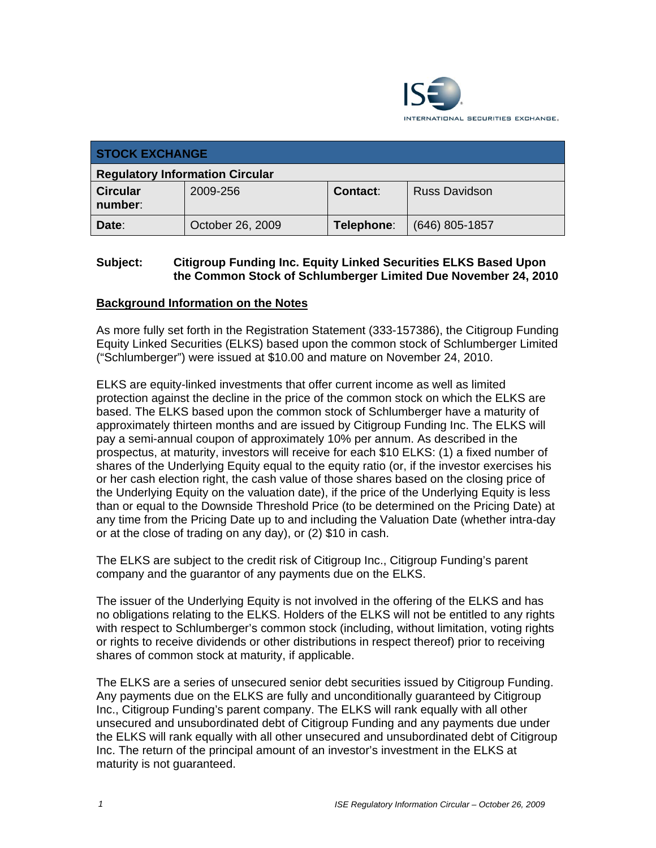

| <b>STOCK EXCHANGE</b>                  |                  |            |                      |  |
|----------------------------------------|------------------|------------|----------------------|--|
| <b>Regulatory Information Circular</b> |                  |            |                      |  |
| <b>Circular</b><br>number:             | 2009-256         | Contact:   | <b>Russ Davidson</b> |  |
| Date:                                  | October 26, 2009 | Telephone: | $(646)$ 805-1857     |  |

### **Subject: Citigroup Funding Inc. Equity Linked Securities ELKS Based Upon the Common Stock of Schlumberger Limited Due November 24, 2010**

## **Background Information on the Notes**

As more fully set forth in the Registration Statement (333-157386), the Citigroup Funding Equity Linked Securities (ELKS) based upon the common stock of Schlumberger Limited ("Schlumberger") were issued at \$10.00 and mature on November 24, 2010.

ELKS are equity-linked investments that offer current income as well as limited protection against the decline in the price of the common stock on which the ELKS are based. The ELKS based upon the common stock of Schlumberger have a maturity of approximately thirteen months and are issued by Citigroup Funding Inc. The ELKS will pay a semi-annual coupon of approximately 10% per annum. As described in the prospectus, at maturity, investors will receive for each \$10 ELKS: (1) a fixed number of shares of the Underlying Equity equal to the equity ratio (or, if the investor exercises his or her cash election right, the cash value of those shares based on the closing price of the Underlying Equity on the valuation date), if the price of the Underlying Equity is less than or equal to the Downside Threshold Price (to be determined on the Pricing Date) at any time from the Pricing Date up to and including the Valuation Date (whether intra-day or at the close of trading on any day), or (2) \$10 in cash.

The ELKS are subject to the credit risk of Citigroup Inc., Citigroup Funding's parent company and the guarantor of any payments due on the ELKS.

The issuer of the Underlying Equity is not involved in the offering of the ELKS and has no obligations relating to the ELKS. Holders of the ELKS will not be entitled to any rights with respect to Schlumberger's common stock (including, without limitation, voting rights or rights to receive dividends or other distributions in respect thereof) prior to receiving shares of common stock at maturity, if applicable.

The ELKS are a series of unsecured senior debt securities issued by Citigroup Funding. Any payments due on the ELKS are fully and unconditionally guaranteed by Citigroup Inc., Citigroup Funding's parent company. The ELKS will rank equally with all other unsecured and unsubordinated debt of Citigroup Funding and any payments due under the ELKS will rank equally with all other unsecured and unsubordinated debt of Citigroup Inc. The return of the principal amount of an investor's investment in the ELKS at maturity is not guaranteed.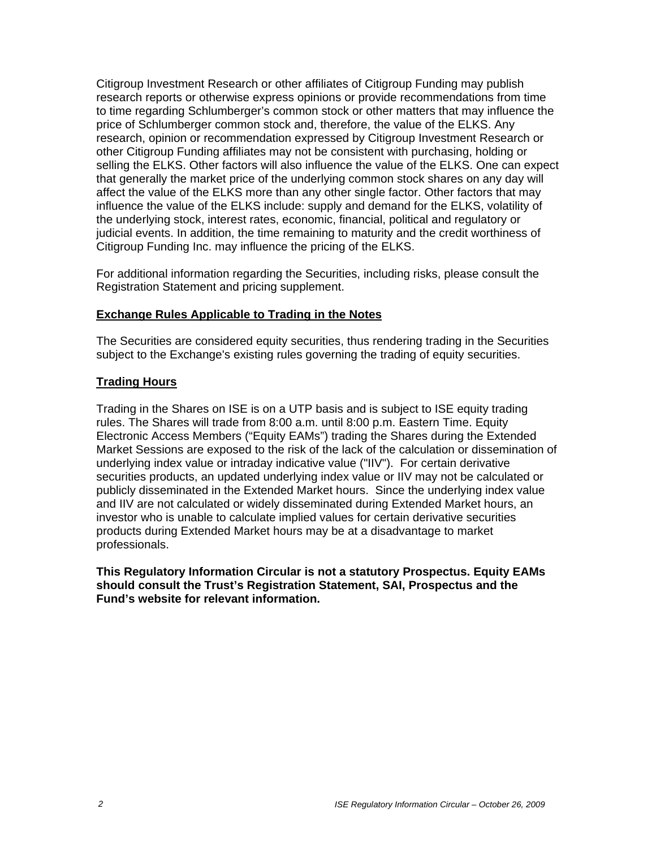Citigroup Investment Research or other affiliates of Citigroup Funding may publish research reports or otherwise express opinions or provide recommendations from time to time regarding Schlumberger's common stock or other matters that may influence the price of Schlumberger common stock and, therefore, the value of the ELKS. Any research, opinion or recommendation expressed by Citigroup Investment Research or other Citigroup Funding affiliates may not be consistent with purchasing, holding or selling the ELKS. Other factors will also influence the value of the ELKS. One can expect that generally the market price of the underlying common stock shares on any day will affect the value of the ELKS more than any other single factor. Other factors that may influence the value of the ELKS include: supply and demand for the ELKS, volatility of the underlying stock, interest rates, economic, financial, political and regulatory or judicial events. In addition, the time remaining to maturity and the credit worthiness of Citigroup Funding Inc. may influence the pricing of the ELKS.

For additional information regarding the Securities, including risks, please consult the Registration Statement and pricing supplement.

#### **Exchange Rules Applicable to Trading in the Notes**

The Securities are considered equity securities, thus rendering trading in the Securities subject to the Exchange's existing rules governing the trading of equity securities.

#### **Trading Hours**

Trading in the Shares on ISE is on a UTP basis and is subject to ISE equity trading rules. The Shares will trade from 8:00 a.m. until 8:00 p.m. Eastern Time. Equity Electronic Access Members ("Equity EAMs") trading the Shares during the Extended Market Sessions are exposed to the risk of the lack of the calculation or dissemination of underlying index value or intraday indicative value ("IIV"). For certain derivative securities products, an updated underlying index value or IIV may not be calculated or publicly disseminated in the Extended Market hours. Since the underlying index value and IIV are not calculated or widely disseminated during Extended Market hours, an investor who is unable to calculate implied values for certain derivative securities products during Extended Market hours may be at a disadvantage to market professionals.

**This Regulatory Information Circular is not a statutory Prospectus. Equity EAMs should consult the Trust's Registration Statement, SAI, Prospectus and the Fund's website for relevant information.**